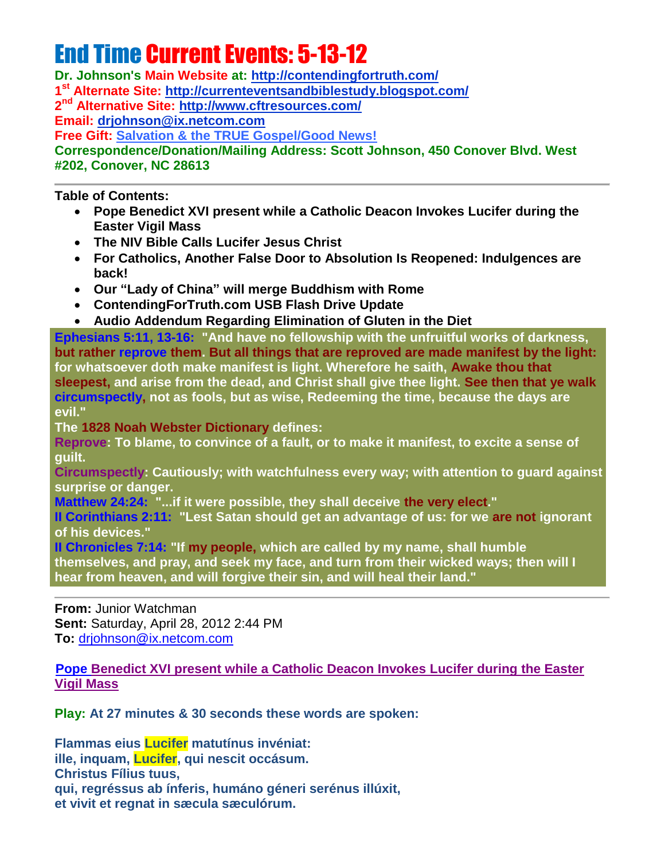# End Time Current Events: 5-13-12

**Dr. Johnson's Main Website at:<http://contendingfortruth.com/> 1 st Alternate Site: <http://currenteventsandbiblestudy.blogspot.com/> 2 nd Alternative Site:<http://www.cftresources.com/> Email: [drjohnson@ix.netcom.com](mailto:drjohnson@ix.netcom.com) Free Gift: [Salvation & the TRUE Gospel/Good News!](http://www.contendingfortruth.com/?cat=98) Correspondence/Donation/Mailing Address: Scott Johnson, 450 Conover Blvd. West #202, Conover, NC 28613**

**Table of Contents:**

- **Pope Benedict XVI present while a Catholic Deacon Invokes Lucifer during the Easter Vigil Mass**
- **The NIV Bible Calls Lucifer Jesus Christ**
- **For Catholics, Another False Door to Absolution Is Reopened: Indulgences are back!**
- **Our "Lady of China" [will merge Buddhism with](http://ivarfjeld.wordpress.com/2012/04/23/our-lady-of-china-will-merge-buddhism-and-rome/) Rome**
- **ContendingForTruth.com USB Flash Drive Update**
- **Audio Addendum Regarding Elimination of Gluten in the Diet**

**Ephesians 5:11, 13-16: "And have no fellowship with the unfruitful works of darkness, but rather reprove them. But all things that are reproved are made manifest by the light: for whatsoever doth make manifest is light. Wherefore he saith, Awake thou that sleepest, and arise from the dead, and Christ shall give thee light. See then that ye walk circumspectly, not as fools, but as wise, Redeeming the time, because the days are evil."** 

**The 1828 Noah Webster Dictionary defines:**

**Reprove: To blame, to convince of a fault, or to make it manifest, to excite a sense of guilt.**

**Circumspectly: Cautiously; with watchfulness every way; with attention to guard against surprise or danger.**

**Matthew 24:24: "...if it were possible, they shall deceive the very elect."** 

**II Corinthians 2:11: "Lest Satan should get an advantage of us: for we are not ignorant of his devices."** 

**II Chronicles 7:14: "If my people, which are called by my name, shall humble themselves, and pray, and seek my face, and turn from their wicked ways; then will I hear from heaven, and will forgive their sin, and will heal their land."**

**From:** Junior Watchman **Sent:** Saturday, April 28, 2012 2:44 PM **To:** [drjohnson@ix.netcom.com](mailto:drjohnson@ix.netcom.com)

**Pope Benedict XVI present [while a Catholic Deacon Invokes](http://thirdsecret.forumotion.com/t11-benedict-xvi-invokes-the-devil-during-easter-vigil-mass#13) Lucifer during the Easter [Vigil Mass](http://thirdsecret.forumotion.com/t11-benedict-xvi-invokes-the-devil-during-easter-vigil-mass#13)**

**Play: At 27 minutes & 30 seconds these words are spoken:**

**Flammas eius Lucifer matutínus invéniat: ille, inquam, Lucifer, qui nescit occásum. Christus Fílius tuus, qui, regréssus ab ínferis, humáno géneri serénus illúxit, et vivit et regnat in sæcula sæculórum.**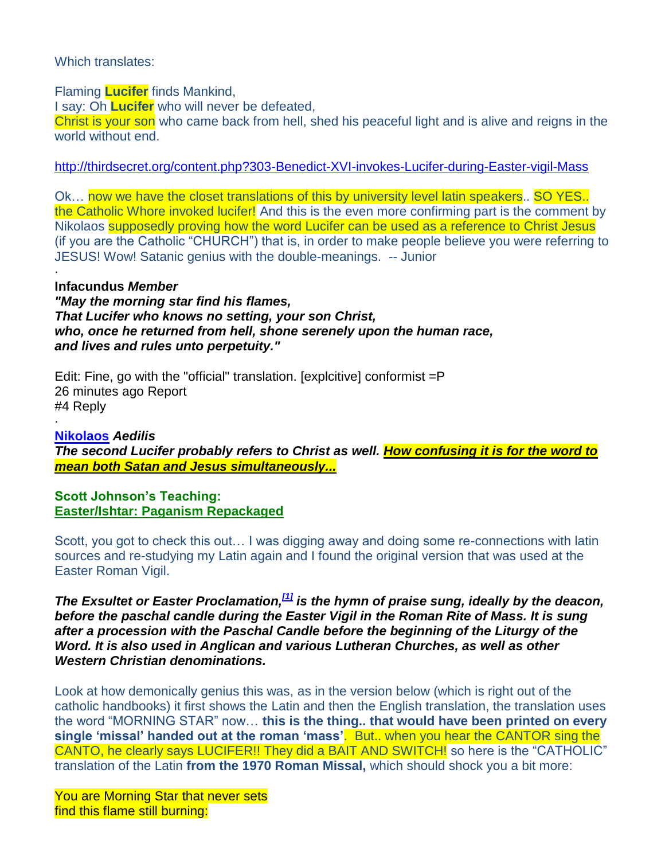### Which translates:

Flaming **Lucifer** finds Mankind,

I say: Oh **Lucifer** who will never be defeated,

Christ is your son who came back from hell, shed his peaceful light and is alive and reigns in the world without end.

<http://thirdsecret.org/content.php?303-Benedict-XVI-invokes-Lucifer-during-Easter-vigil-Mass>

Ok... now we have the closet translations of this by university level latin speakers.. SO YES.. the Catholic Whore invoked lucifer! And this is the even more confirming part is the comment by Nikolaos supposedly proving how the word Lucifer can be used as a reference to Christ Jesus (if you are the Catholic "CHURCH") that is, in order to make people believe you were referring to JESUS! Wow! Satanic genius with the double-meanings. -- Junior

#### · **Infacundus** *Member*

*"May the morning star find his flames, That Lucifer who knows no setting, your son Christ, who, once he returned from hell, shone serenely upon the human race, and lives and rules unto perpetuity."*

Edit: Fine, go with the "official" translation. [explcitive] conformist =P 26 minutes ago Report #4 Reply

· **Nikolaos** *Aedilis The second Lucifer probably refers to Christ as well. How confusing it is for the word to mean both Satan and Jesus simultaneously...*

**Scott Johnson's Teaching: [Easter/Ishtar: Paganism Repackaged](http://www.contendingfortruth.com/?p=1184)**

Scott, you got to check this out… I was digging away and doing some re-connections with latin sources and re-studying my Latin again and I found the original version that was used at the Easter Roman Vigil.

*The Exsultet or Easter Proclamation,[\[1\]](https://en.wikipedia.org/wiki/Exsultet#cite_note-0) is the hymn of praise sung, ideally by the deacon, before the paschal candle during the Easter Vigil in the Roman Rite of Mass. It is sung after a procession with the Paschal Candle before the beginning of the Liturgy of the Word. It is also used in Anglican and various Lutheran Churches, as well as other Western Christian denominations.*

Look at how demonically genius this was, as in the version below (which is right out of the catholic handbooks) it first shows the Latin and then the English translation, the translation uses the word "MORNING STAR" now… **this is the thing.. that would have been printed on every single 'missal' handed out at the roman 'mass'**. But.. when you hear the CANTOR sing the CANTO, he clearly says LUCIFER!! They did a BAIT AND SWITCH! so here is the "CATHOLIC" translation of the Latin **from the 1970 Roman Missal,** which should shock you a bit more:

You are Morning Star that never sets find this flame still burning: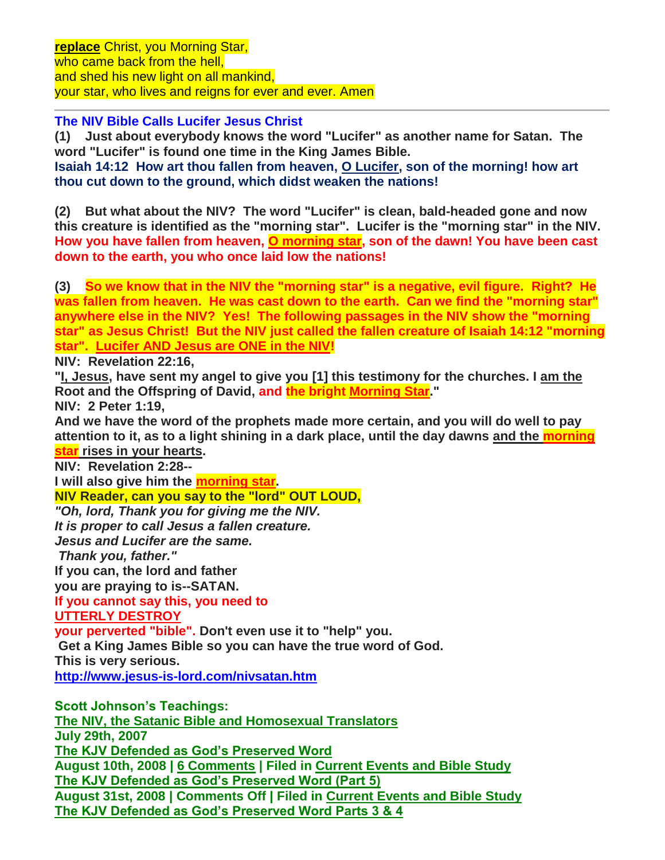**The NIV Bible Calls Lucifer Jesus Christ**

**(1) Just about everybody knows the word "Lucifer" as another name for Satan. The word "Lucifer" is found one time in the King James Bible.** 

**Isaiah 14:12 How art thou fallen from heaven, O Lucifer, son of the morning! how art thou cut down to the ground, which didst weaken the nations!**

**(2) But what about the NIV? The word "Lucifer" is clean, bald-headed gone and now this creature is identified as the "morning star". Lucifer is the "morning star" in the NIV. How you have fallen from heaven, O morning star, son of the dawn! You have been cast down to the earth, you who once laid low the nations!**

**(3) So we know that in the NIV the "morning star" is a negative, evil figure. Right? He was fallen from heaven. He was cast down to the earth. Can we find the "morning star" anywhere else in the NIV? Yes! The following passages in the NIV show the "morning star" as Jesus Christ! But the NIV just called the fallen creature of Isaiah 14:12 "morning star". Lucifer AND Jesus are ONE in the NIV!**

**NIV: Revelation 22:16,** 

**"I, Jesus, have sent my angel to give you [1] this testimony for the churches. I am the Root and the Offspring of David, and the bright Morning Star."** 

**NIV: 2 Peter 1:19,** 

**And we have the word of the prophets made more certain, and you will do well to pay attention to it, as to a light shining in a dark place, until the day dawns and the morning star rises in your hearts.** 

**NIV: Revelation 2:28--**

**I will also give him the morning star.**

**NIV Reader, can you say to the "lord" OUT LOUD,** *"Oh, lord, Thank you for giving me the NIV. It is proper to call Jesus a fallen creature. Jesus and Lucifer are the same. Thank you, father."* **If you can, the lord and father you are praying to is--SATAN. If you cannot say this, you need to UTTERLY DESTROY your perverted "bible". Don't even use it to "help" you. Get a King James Bible so you can have the true word of God. This is very serious. <http://www.jesus-is-lord.com/nivsatan.htm> Scott Johnson's Teachings: [The NIV, the Satanic Bible and Homosexual Translators](http://www.contendingfortruth.com/?p=943) July 29th, 2007 [The KJV Defended as God's Preserved Word](http://www.contendingfortruth.com/?p=1090) August 10th, 2008 | [6 Comments](http://www.contendingfortruth.com/?p=1090#comments) | Filed in [Current Events and Bible Study](http://www.contendingfortruth.com/?cat=5) [The KJV Defended as God's Preserved Word \(Part 5\)](http://www.contendingfortruth.com/?p=1084) August 31st, 2008 | Comments Off | Filed in [Current Events and Bible Study](http://www.contendingfortruth.com/?cat=5) [The KJV Defended as God's Preserved Word Parts 3 & 4](http://www.contendingfortruth.com/?p=1089)**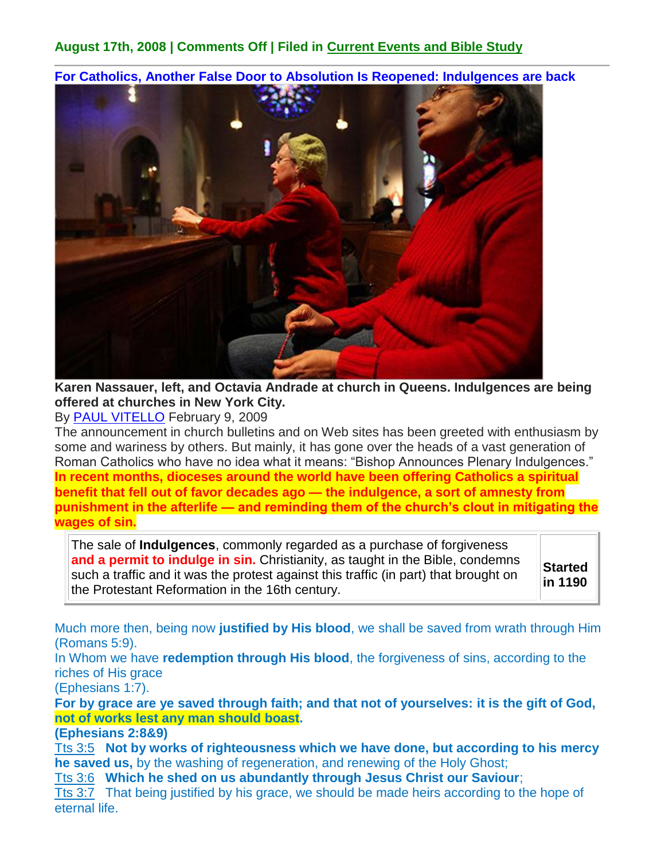## **August 17th, 2008 | Comments Off | Filed in [Current Events and Bible Study](http://www.contendingfortruth.com/?cat=5)**

**For Catholics, Another False Door to Absolution Is Reopened: Indulgences are back**



**Karen Nassauer, left, and Octavia Andrade at church in Queens. Indulgences are being offered at churches in New York City.** 

By [PAUL VITELLO](http://topics.nytimes.com/top/reference/timestopics/people/v/paul_vitello/index.html?inline=nyt-per) February 9, 2009

The announcement in church bulletins and on Web sites has been greeted with enthusiasm by some and wariness by others. But mainly, it has gone over the heads of a vast generation of Roman Catholics who have no idea what it means: "Bishop Announces Plenary Indulgences." **In recent months, dioceses around the world have been offering Catholics a spiritual benefit that fell out of favor decades ago — the indulgence, a sort of amnesty from punishment in the afterlife — and reminding them of the church's clout in mitigating the wages of sin.**

The sale of **Indulgences**, commonly regarded as a purchase of forgiveness **and a permit to indulge in sin.** Christianity, as taught in the Bible, condemns such a traffic and it was the protest against this traffic (in part) that brought on the Protestant Reformation in the 16th century.

**Started in 1190**

Much more then, being now **justified by His blood**, we shall be saved from wrath through Him (Romans 5:9).

In Whom we have **redemption through His blood**, the forgiveness of sins, according to the riches of His grace

(Ephesians 1:7).

**For by grace are ye saved through faith; and that not of yourselves: it is the gift of God, not of works lest any man should boast.** 

**(Ephesians 2:8&9)**

[Tts 3:5](http://www.blueletterbible.org/Bible.cfm?b=Tts&c=3&t=KJV#comm/5) **Not by works of righteousness which we have done, but according to his mercy he saved us,** by the washing of regeneration, and renewing of the Holy Ghost;

[Tts 3:6](http://www.blueletterbible.org/Bible.cfm?b=Tts&c=3&t=KJV#comm/6) **Which he shed on us abundantly through Jesus Christ our Saviour**;

[Tts 3:7](http://www.blueletterbible.org/Bible.cfm?b=Tts&c=3&t=KJV#comm/7) That being justified by his grace, we should be made heirs according to the hope of eternal life.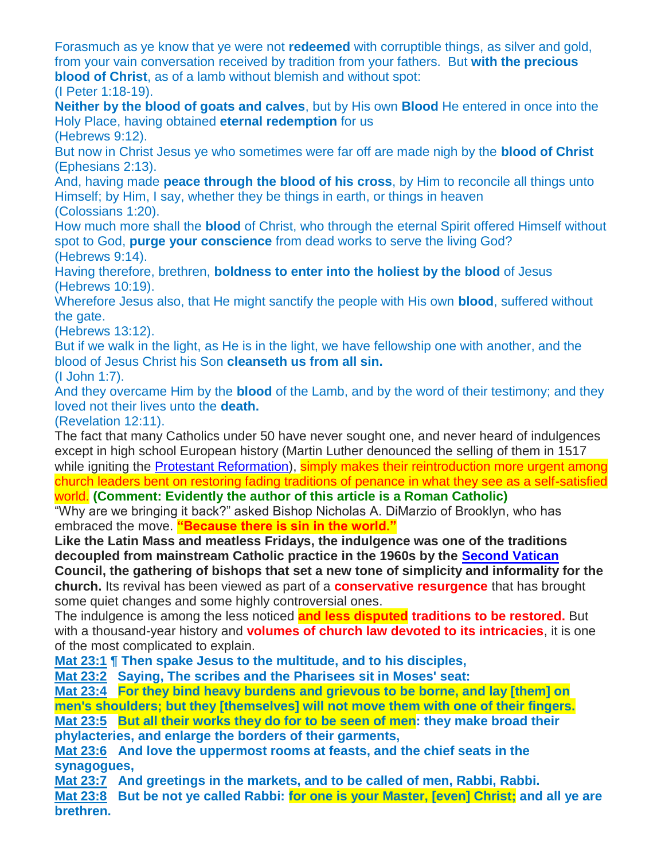Forasmuch as ye know that ye were not **redeemed** with corruptible things, as silver and gold, from your vain conversation received by tradition from your fathers. But **with the precious blood of Christ**, as of a lamb without blemish and without spot: (I Peter 1:18-19).

**Neither by the blood of goats and calves**, but by His own **Blood** He entered in once into the Holy Place, having obtained **eternal redemption** for us

(Hebrews 9:12).

But now in Christ Jesus ye who sometimes were far off are made nigh by the **blood of Christ** (Ephesians 2:13).

And, having made **peace through the blood of his cross**, by Him to reconcile all things unto Himself; by Him, I say, whether they be things in earth, or things in heaven (Colossians 1:20).

How much more shall the **blood** of Christ, who through the eternal Spirit offered Himself without spot to God, **purge your conscience** from dead works to serve the living God? (Hebrews 9:14).

Having therefore, brethren, **boldness to enter into the holiest by the blood** of Jesus (Hebrews 10:19).

Wherefore Jesus also, that He might sanctify the people with His own **blood**, suffered without the gate.

(Hebrews 13:12).

But if we walk in the light, as He is in the light, we have fellowship one with another, and the blood of Jesus Christ his Son **cleanseth us from all sin.**

(I John 1:7).

And they overcame Him by the **blood** of the Lamb, and by the word of their testimony; and they loved not their lives unto the **death.**

(Revelation 12:11).

The fact that many Catholics under 50 have never sought one, and never heard of indulgences except in high school European history (Martin Luther denounced the selling of them in 1517 while igniting the [Protestant Reformation\)](http://mb-soft.com/believe/txn/reformat.htm), simply makes their reintroduction more urgent among church leaders bent on restoring fading traditions of penance in what they see as a self-satisfied world. **(Comment: Evidently the author of this article is a Roman Catholic)**

"Why are we bringing it back?" asked Bishop Nicholas A. DiMarzio of Brooklyn, who has embraced the move. **"Because there is sin in the world."**

**Like the Latin Mass and meatless Fridays, the indulgence was one of the traditions decoupled from mainstream Catholic practice in the 1960s by the [Second Vatican](http://mb-soft.com/believe/txs/secondvc.htm)**

**Council, the gathering of bishops that set a new tone of simplicity and informality for the church.** Its revival has been viewed as part of a **conservative resurgence** that has brought some quiet changes and some highly controversial ones.

The indulgence is among the less noticed **and less disputed traditions to be restored.** But with a thousand-year history and **volumes of church law devoted to its intricacies**, it is one of the most complicated to explain.

**[Mat 23:1](http://www.blueletterbible.org/Bible.cfm?b=Mat&c=23&t=KJV#comm/1) ¶ Then spake Jesus to the multitude, and to his disciples,** 

**[Mat 23:2](http://www.blueletterbible.org/Bible.cfm?b=Mat&c=23&t=KJV#comm/2) Saying, The scribes and the Pharisees sit in Moses' seat:** 

**[Mat 23:4](http://www.blueletterbible.org/Bible.cfm?b=Mat&c=23&t=KJV#comm/4) For they bind heavy burdens and grievous to be borne, and lay [them] on men's shoulders; but they [themselves] will not move them with one of their fingers.**

**[Mat 23:5](http://www.blueletterbible.org/Bible.cfm?b=Mat&c=23&t=KJV#comm/5) But all their works they do for to be seen of men: they make broad their phylacteries, and enlarge the borders of their garments,** 

**[Mat 23:6](http://www.blueletterbible.org/Bible.cfm?b=Mat&c=23&t=KJV#comm/6) And love the uppermost rooms at feasts, and the chief seats in the synagogues,** 

**[Mat 23:7](http://www.blueletterbible.org/Bible.cfm?b=Mat&c=23&t=KJV#comm/7) And greetings in the markets, and to be called of men, Rabbi, Rabbi.** 

**[Mat 23:8](http://www.blueletterbible.org/Bible.cfm?b=Mat&c=23&t=KJV#comm/8) But be not ye called Rabbi: for one is your Master, [even] Christ; and all ye are brethren.**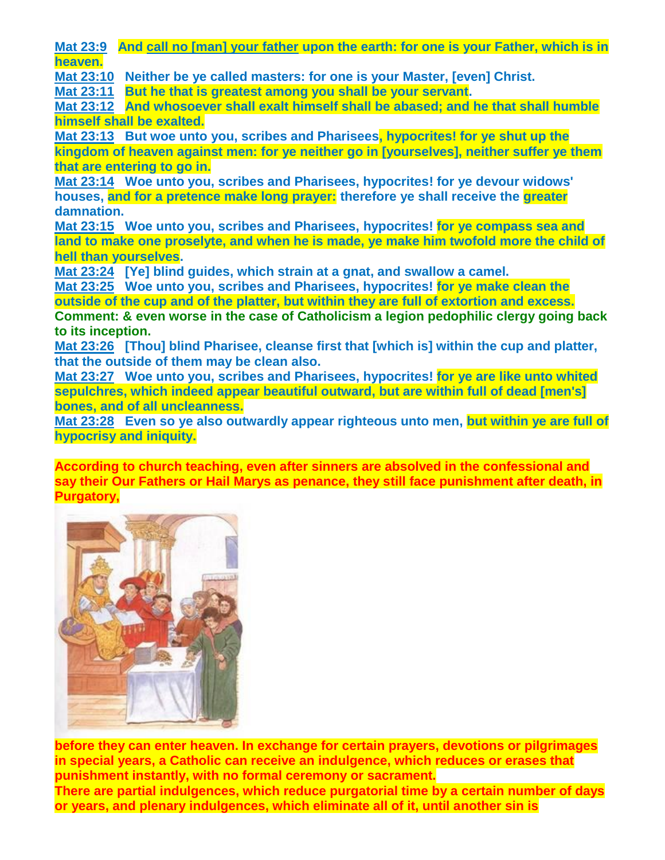**[Mat 23:9](http://www.blueletterbible.org/Bible.cfm?b=Mat&c=23&t=KJV#comm/9) And call no [man] your father upon the earth: for one is your Father, which is in heaven.**

**[Mat 23:10](http://www.blueletterbible.org/Bible.cfm?b=Mat&c=23&t=KJV#comm/10) Neither be ye called masters: for one is your Master, [even] Christ.** 

**[Mat 23:11](http://www.blueletterbible.org/Bible.cfm?b=Mat&c=23&t=KJV#comm/11) But he that is greatest among you shall be your servant.** 

**[Mat 23:12](http://www.blueletterbible.org/Bible.cfm?b=Mat&c=23&t=KJV#comm/12) And whosoever shall exalt himself shall be abased; and he that shall humble himself shall be exalted.**

**[Mat 23:13](http://www.blueletterbible.org/Bible.cfm?b=Mat&c=23&t=KJV#comm/13) But woe unto you, scribes and Pharisees, hypocrites! for ye shut up the kingdom of heaven against men: for ye neither go in [yourselves], neither suffer ye them that are entering to go in.**

**[Mat 23:14](http://www.blueletterbible.org/Bible.cfm?b=Mat&c=23&t=KJV#comm/14) Woe unto you, scribes and Pharisees, hypocrites! for ye devour widows' houses, and for a pretence make long prayer: therefore ye shall receive the greater damnation.** 

**[Mat 23:15](http://www.blueletterbible.org/Bible.cfm?b=Mat&c=23&t=KJV#comm/15) Woe unto you, scribes and Pharisees, hypocrites! for ye compass sea and land to make one proselyte, and when he is made, ye make him twofold more the child of hell than yourselves.** 

**[Mat 23:24](http://www.blueletterbible.org/Bible.cfm?b=Mat&c=23&t=KJV#comm/24) [Ye] blind guides, which strain at a gnat, and swallow a camel.** 

**[Mat 23:25](http://www.blueletterbible.org/Bible.cfm?b=Mat&c=23&t=KJV#comm/25) Woe unto you, scribes and Pharisees, hypocrites! for ye make clean the** 

**outside of the cup and of the platter, but within they are full of extortion and excess. Comment: & even worse in the case of Catholicism a legion pedophilic clergy going back to its inception.**

**[Mat 23:26](http://www.blueletterbible.org/Bible.cfm?b=Mat&c=23&t=KJV#comm/26) [Thou] blind Pharisee, cleanse first that [which is] within the cup and platter, that the outside of them may be clean also.** 

**[Mat 23:27](http://www.blueletterbible.org/Bible.cfm?b=Mat&c=23&t=KJV#comm/27) Woe unto you, scribes and Pharisees, hypocrites! for ye are like unto whited sepulchres, which indeed appear beautiful outward, but are within full of dead [men's] bones, and of all uncleanness.**

**[Mat 23:28](http://www.blueletterbible.org/Bible.cfm?b=Mat&c=23&t=KJV#comm/28) Even so ye also outwardly appear righteous unto men, but within ye are full of hypocrisy and iniquity.**

**According to church teaching, even after sinners are absolved in the confessional and say their Our Fathers or Hail Marys as penance, they still face punishment after death, in Purgatory,**



**before they can enter heaven. In exchange for certain prayers, devotions or pilgrimages in special years, a Catholic can receive an indulgence, which reduces or erases that punishment instantly, with no formal ceremony or sacrament. There are partial indulgences, which reduce purgatorial time by a certain number of days or years, and plenary indulgences, which eliminate all of it, until another sin is**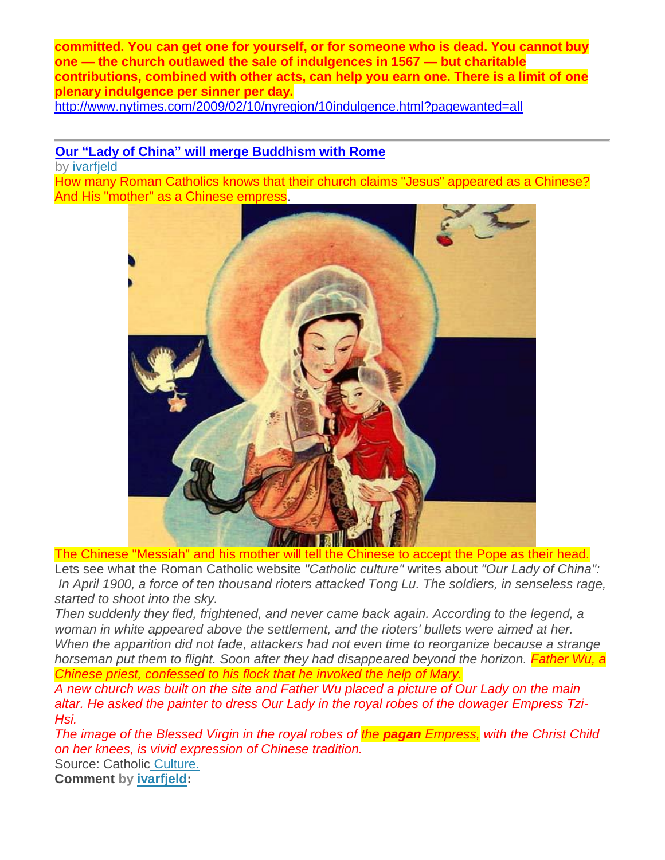**committed. You can get one for yourself, or for someone who is dead. You cannot buy one — the church outlawed the sale of indulgences in 1567 — but charitable contributions, combined with other acts, can help you earn one. There is a limit of one plenary indulgence per sinner per day.**

<http://www.nytimes.com/2009/02/10/nyregion/10indulgence.html?pagewanted=all>

## **Our "Lady of China" [will merge Buddhism with](http://ivarfjeld.wordpress.com/2012/04/23/our-lady-of-china-will-merge-buddhism-and-rome/) Rome**

by [ivarfjeld](http://ivarfjeld.wordpress.com/author/ivarfjeld/)

How many Roman Catholics knows that their church claims "Jesus" appeared as a Chinese? And His "mother" as a Chinese empress.



The Chinese "Messiah" and his mother will tell the Chinese to accept the Pope as their head. Lets see what the Roman Catholic website *"Catholic culture"* writes about *"Our Lady of China": In April 1900, a force of ten thousand rioters attacked Tong Lu. The soldiers, in senseless rage, started to shoot into the sky.*

*Then suddenly they fled, frightened, and never came back again. According to the legend, a woman in white appeared above the settlement, and the rioters' bullets were aimed at her. When the apparition did not fade, attackers had not even time to reorganize because a strange horseman put them to flight. Soon after they had disappeared beyond the horizon. Father Wu, a Chinese priest, confessed to his flock that he invoked the help of Mary.*

*A new church was built on the site and Father Wu placed a picture of Our Lady on the main altar. He asked the painter to dress Our Lady in the royal robes of the dowager Empress Tzi-Hsi.*

*The image of the Blessed Virgin in the royal robes of the pagan Empress, with the Christ Child on her knees, is vivid expression of Chinese tradition.*

Source: Catholic [Culture.](http://www.catholicculture.org/culture/library/view.cfm?id=3172&CFID=88050793&CFTOKEN=40805830) 

**Comment by [ivarfjeld:](http://ivarfjeld.wordpress.com/author/ivarfjeld/)**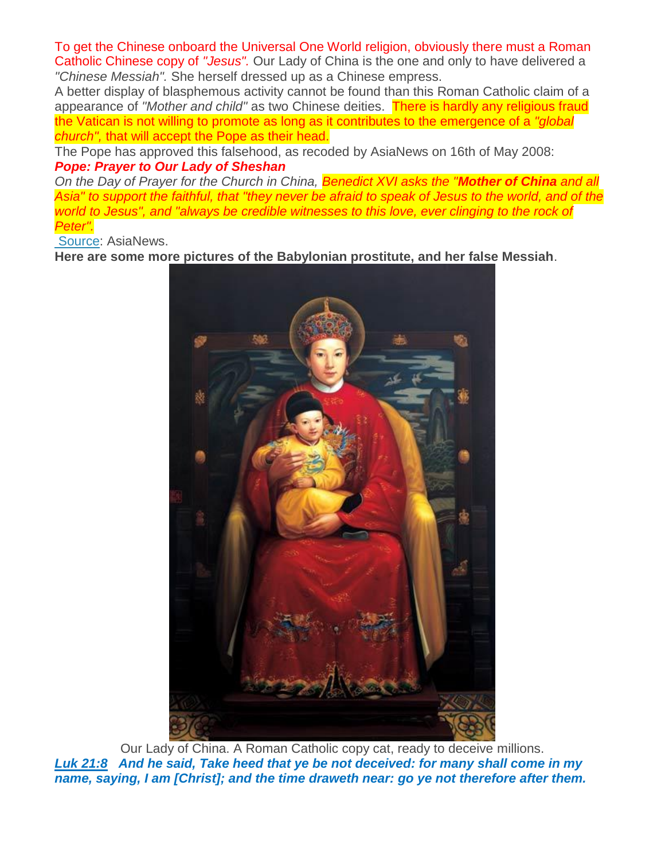To get the Chinese onboard the Universal One World religion, obviously there must a Roman Catholic Chinese copy of *"Jesus".* Our Lady of China is the one and only to have delivered a *"Chinese Messiah".* She herself dressed up as a Chinese empress.

A better display of blasphemous activity cannot be found than this Roman Catholic claim of a appearance of "Mother and child" as two Chinese deities. There is hardly any religious fraud the Vatican is not willing to promote as long as it contributes to the emergence of a *"global church",* that will accept the Pope as their head.

The Pope has approved this falsehood, as recoded by AsiaNews on 16th of May 2008: *Pope: Prayer to Our Lady of Sheshan*

*On the Day of Prayer for the Church in China, Benedict XVI asks the "Mother of China and all Asia" to support the faithful, that "they never be afraid to speak of Jesus to the world, and of the world to Jesus", and "always be credible witnesses to this love, ever clinging to the rock of Peter".*

[Source:](http://www.asianews.it/news-en/Pope:-Prayer-to-Our-Lady-of-Sheshan-12275.html) AsiaNews.

**Here are some more pictures of the Babylonian prostitute, and her false Messiah**.



Our Lady of China. A Roman Catholic copy cat, ready to deceive millions. *[Luk 21:8](http://www.blueletterbible.org/Bible.cfm?b=Luk&c=21&v=8&t=KJV#comm/8) And he said, Take heed that ye be not deceived: for many shall come in my name, saying, I am [Christ]; and the time draweth near: go ye not therefore after them.*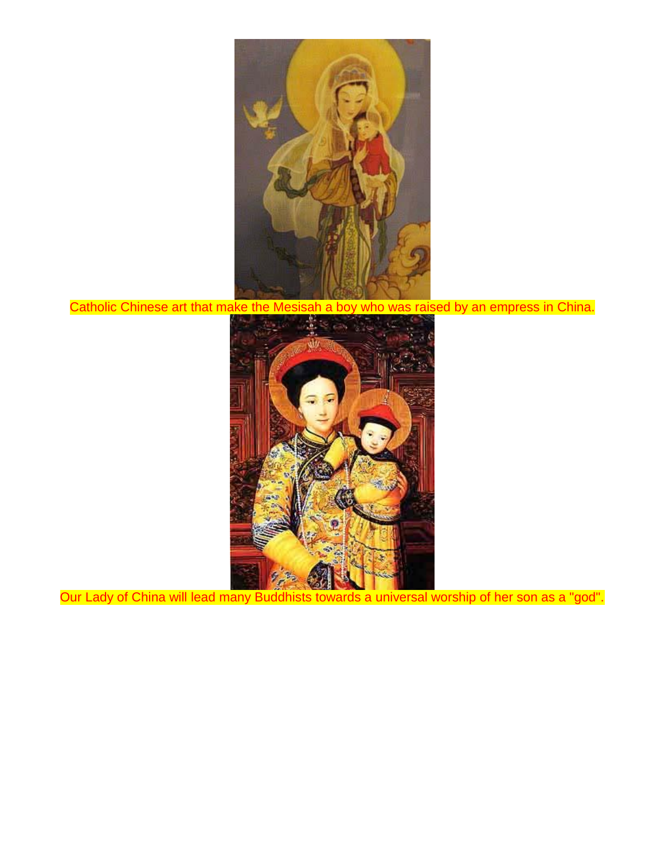

Catholic Chinese art that make the Mesisah a boy who was raised by an empress in China.



Our Lady of China will lead many Buddhists towards a universal worship of her son as a "god".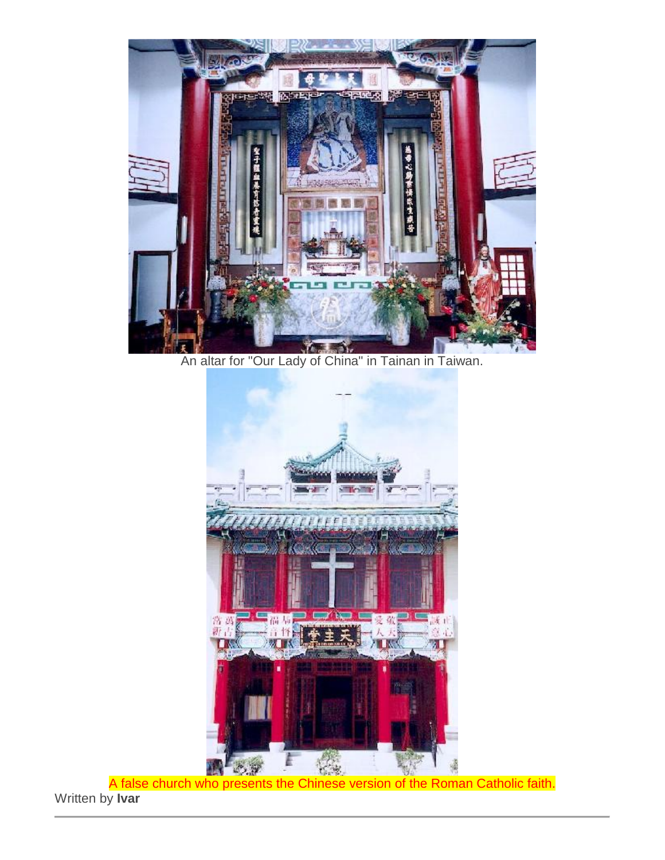

An altar for "Our Lady of China" in Tainan in Taiwan.



A false church who presents the Chinese version of the Roman Catholic faith. Written by **Ivar**